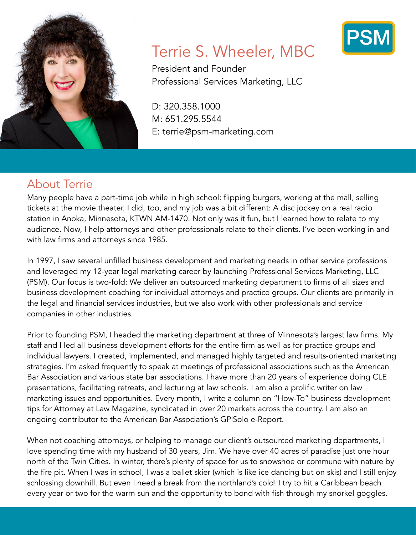

# Terrie S. Wheeler, MBC

President and Founder Professional Services Marketing, LLC

D: 320.358.1000 M: 651.295.5544 E: terrie@psm-marketing.com

## About Terrie

Many people have a part-time job while in high school: flipping burgers, working at the mall, selling tickets at the movie theater. I did, too, and my job was a bit different: A disc jockey on a real radio station in Anoka, Minnesota, KTWN AM-1470. Not only was it fun, but I learned how to relate to my audience. Now, I help attorneys and other professionals relate to their clients. I've been working in and with law firms and attorneys since 1985.

In 1997, I saw several unfilled business development and marketing needs in other service professions and leveraged my 12-year legal marketing career by launching Professional Services Marketing, LLC (PSM). Our focus is two-fold: We deliver an outsourced marketing department to firms of all sizes and business development coaching for individual attorneys and practice groups. Our clients are primarily in the legal and financial services industries, but we also work with other professionals and service companies in other industries.

Prior to founding PSM, I headed the marketing department at three of Minnesota's largest law firms. My staff and I led all business development efforts for the entire firm as well as for practice groups and individual lawyers. I created, implemented, and managed highly targeted and results-oriented marketing strategies. I'm asked frequently to speak at meetings of professional associations such as the American Bar Association and various state bar associations. I have more than 20 years of experience doing CLE presentations, facilitating retreats, and lecturing at law schools. I am also a prolific writer on law marketing issues and opportunities. Every month, I write a column on "How-To" business development tips for Attorney at Law Magazine, syndicated in over 20 markets across the country. I am also an ongoing contributor to the American Bar Association's GP|Solo e-Report.

When not coaching attorneys, or helping to manage our client's outsourced marketing departments, I love spending time with my husband of 30 years, Jim. We have over 40 acres of paradise just one hour north of the Twin Cities. In winter, there's plenty of space for us to snowshoe or commune with nature by the fire pit. When I was in school, I was a ballet skier (which is like ice dancing but on skis) and I still enjoy schlossing downhill. But even I need a break from the northland's cold! I try to hit a Caribbean beach every year or two for the warm sun and the opportunity to bond with fish through my snorkel goggles.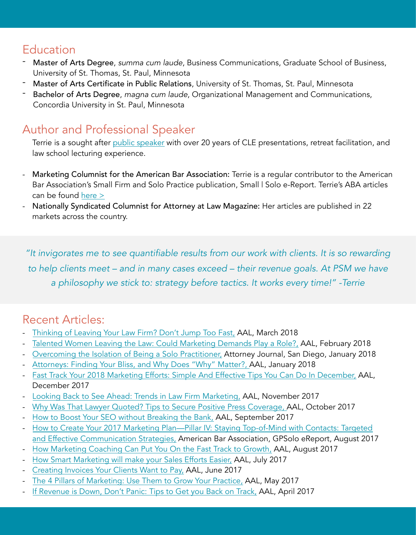### **Education**

- Master of Arts Degree, *summa cum laude*, Business Communications, Graduate School of Business, University of St. Thomas, St. Paul, Minnesota
- Master of Arts Certificate in Public Relations, University of St. Thomas, St. Paul, Minnesota
- Bachelor of Arts Degree, *magna cum laude*, Organizational Management and Communications, Concordia University in St. Paul, Minnesota

## Author and Professional Speaker

Terrie is a sought after [public speaker](https://www.psm-marketing.com/resources/presentations/) with over 20 years of CLE presentations, retreat facilitation, and law school lecturing experience.

- Marketing Columnist for the American Bar Association: Terrie is a regular contributor to the American Bar Association's Small Firm and Solo Practice publication, Small | Solo e-Report. Terrie's ABA articles can be found [here >](https://www.psm-marketing.com/resources/publications/)
- Nationally Syndicated Columnist for Attorney at Law Magazine: Her articles are published in 22 markets across the country.

*"It invigorates me to see quantifiable results from our work with clients. It is so rewarding to help clients meet – and in many cases exceed – their revenue goals. At PSM we have a philosophy we stick to: strategy before tactics. It works every time!" -Terrie*

## Recent Articles:

- [Thinking of Leaving Your Law Firm? Don't Jump Too Fast,](https://www.psm-marketing.com/wp-content/uploads/2018/03/Thinking-of-Leaving-Your-Law-Firm-Dont-Jump-Too-Fast-Terrie-Wheeler-2018-1.pdf) AAL, March 2018
- [Talented Women Leaving the Law: Could Marketing Demands Play a Role?,](https://www.psm-marketing.com/wp-content/uploads/2018/02/Talented-Women-Leaving-the-Law-Terrie-Wheeler-February-2018-AAL.pdf) AAL, February 2018
- [Overcoming the Isolation of Being a Solo Practitioner,](https://issuu.com/sandiegoattorneyjournal/docs/aj-sd_jan18_v173_full_digital/26) Attorney Journal, San Diego, January 2018
- [Attorneys: Finding Your Bliss, and Why Does "Why" Matter?,](https://www.psm-marketing.com/wp-content/uploads/2018/01/Terrie-Wheeler-2018-Finding-Your-Bliss-and-Why-Does-Why-Matter.pdf) AAL, January 2018
- [Fast Track Your 2018 Marketing Efforts: Simple And Effective Tips You Can Do In December,](https://www.psm-marketing.com/wp-content/uploads/2017/12/Fast-Track-Your-2018-Marketing-Plan.pdf) AAL, December 2017
- [Looking Back to See Ahead: Trends in Law Firm Marketing,](https://www.psm-marketing.com/wp-content/uploads/2017/11/Terrie-Wheeler-Marketing-November-2017-.pdf) AAL, November 2017
- [Why Was That Lawyer Quoted? Tips to Secure Positive Press Coverage,](https://www.psm-marketing.com/wp-content/uploads/2017/10/Wheeler-2017-NO-10-HR.pdf) AAL, October 2017
- [How to Boost Your SEO without Breaking the Bank,](https://www.psm-marketing.com/wp-content/uploads/2017/10/Wheeler-2017-NO-9-HR.pdf) AAL, September 2017
- [How to Create Your 2017 Marketing Plan—Pillar IV: Staying Top-of-Mind with Contacts: Targeted](https://www.americanbar.org/groups/gpsolo/publications/gpsolo_ereport/2017/august_2017/how_create_your_2017_marketing_plan_pillar_iv_staying_top_mind_contacts_targeted_effective_communication_strategies.html)  [and Effective Communication Strategies,](https://www.americanbar.org/groups/gpsolo/publications/gpsolo_ereport/2017/august_2017/how_create_your_2017_marketing_plan_pillar_iv_staying_top_mind_contacts_targeted_effective_communication_strategies.html) American Bar Association, GPSolo eReport, August 2017
- [How Marketing Coaching Can Put You On the Fast Track to Growth,](https://www.psm-marketing.com/wp-content/uploads/2017/08/AAL-MINN-2017-NO-8-page-8-9.pdf) AAL, August 2017
- [How Smart Marketing will make your Sales Efforts Easier,](https://www.psm-marketing.com/wp-content/uploads/2017/08/Wheeler-JULY-2017-HR.pdf) AAL, July 2017
- [Creating Invoices Your Clients Want to Pay,](https://www.psm-marketing.com/wp-content/uploads/2017/08/Wheeler_VOL3NO6-HR-4.pdf) AAL, June 2017
- [The 4 Pillars of Marketing: Use Them to Grow Your Practice,](https://www.psm-marketing.com/wp-content/uploads/2017/05/Wheeler_2017_No5-3_HR-5.pdf) AAL, May 2017
- [If Revenue is Down, Don't Panic: Tips to Get you Back on Track,](http://www.attorneyatlawmagazine.com/twin-cities/revenue-dont-panic-tips-get-back-track/) AAL, April 2017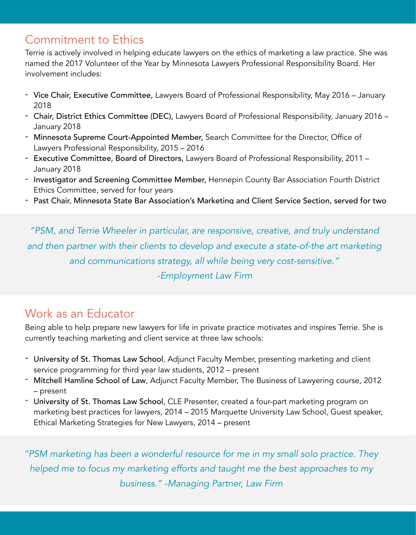## Commitment to Ethics

Terrie is actively involved in helping educate lawyers on the ethics of marketing a law practice. She was named the 2017 Volunteer of the Year by Minnesota Lawyers Professional Responsibility Board. Her involvement includes:

- Vice Chair, Executive Committee, Lawyers Board of Professional Responsibility, May 2016 January 2018
- Chair, District Ethics Committee (DEC), Lawyers Board of Professional Responsibility, January 2016 January 2018
- Minnesota Supreme Court-Appointed Member, Search Committee for the Director, Office of Lawyers Professional Responsibility, 2015 – 2016
- Executive Committee, Board of Directors, Lawyers Board of Professional Responsibility, 2011 January 2018
- Investigator and Screening Committee Member, Hennepin County Bar Association Fourth District Ethics Committee, served for four years
- Past Chair, Minnesota State Bar Association's Marketing and Client Service Section, served for two

*"PSM, and Terrie Wheeler in particular, are responsive, creative, and truly understand*  and then partner with their clients to develop and execute a state-of-the art marketing *and communications strategy, all while being very cost-sensitive." -Employment Law Firm* 

#### Work as an Educator

Being able to help prepare new lawyers for life in private practice motivates and inspires Terrie. She is currently teaching marketing and client service at three law schools:

- University of St. Thomas Law School, Adjunct Faculty Member, presenting marketing and client service programming for third year law students, 2012 – present
- Mitchell Hamline School of Law, Adjunct Faculty Member, The Business of Lawyering course, 2012 – present
- University of St. Thomas Law School, CLE Presenter, created a four-part marketing program on marketing best practices for lawyers, 2014 – 2015 Marquette University Law School, Guest speaker, Ethical Marketing Strategies for New Lawyers, 2014 – present

*"PSM marketing has been a wonderful resource for me in my small solo practice. They helped me to focus my marketing efforts and taught me the best approaches to my business." -Managing Partner, Law Firm*